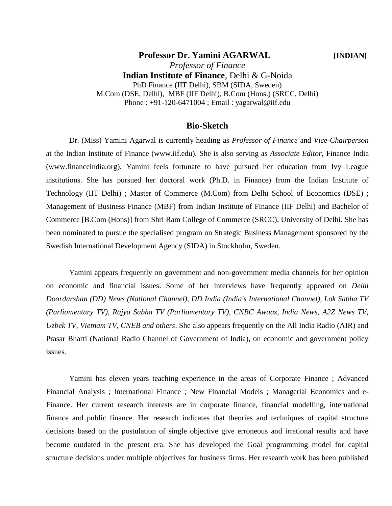**Professor Dr. Yamini AGARWAL [INDIAN]** *Professor of Finance* **Indian Institute of Finance**, Delhi & G-Noida PhD Finance (IIT Delhi), SBM (SIDA, Sweden) M.Com (DSE, Delhi), MBF (IIF Delhi), B.Com (Hons.) (SRCC, Delhi) Phone : +91-120-6471004 ; Email : yagarwal@iif.edu

#### **Bio-Sketch**

Dr. (Miss) Yamini Agarwal is currently heading as *Professor of Finance* and *Vice-Chairperson* at the Indian Institute of Finance (www.iif.edu). She is also serving as *Associate Editor*, Finance India (www.financeindia.org). Yamini feels fortunate to have pursued her education from Ivy League institutions. She has pursued her doctoral work (Ph.D. in Finance) from the Indian Institute of Technology (IIT Delhi) ; Master of Commerce (M.Com) from Delhi School of Economics (DSE) ; Management of Business Finance (MBF) from Indian Institute of Finance (IIF Delhi) and Bachelor of Commerce [B.Com (Hons)] from Shri Ram College of Commerce (SRCC), University of Delhi. She has been nominated to pursue the specialised program on Strategic Business Management sponsored by the Swedish International Development Agency (SIDA) in Stockholm, Sweden.

Yamini appears frequently on government and non-government media channels for her opinion on economic and financial issues. Some of her interviews have frequently appeared on *Delhi Doordarshan (DD) News (National Channel), DD India (India's International Channel), Lok Sabha TV (Parliamentary TV), Rajya Sabha TV (Parliamentary TV), CNBC Awaaz, India News, A2Z News TV, Uzbek TV, Vietnam TV, CNEB and others*. She also appears frequently on the All India Radio (AIR) and Prasar Bharti (National Radio Channel of Government of India), on economic and government policy issues.

Yamini has eleven years teaching experience in the areas of Corporate Finance ; Advanced Financial Analysis ; International Finance ; New Financial Models ; Managerial Economics and e-Finance. Her current research interests are in corporate finance, financial modelling, international finance and public finance. Her research indicates that theories and techniques of capital structure decisions based on the postulation of single objective give erroneous and irrational results and have become outdated in the present era. She has developed the Goal programming model for capital structure decisions under multiple objectives for business firms. Her research work has been published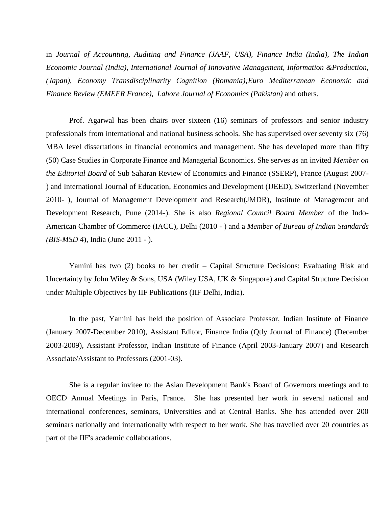in *Journal of Accounting, Auditing and Finance (JAAF, USA), Finance India (India), The Indian Economic Journal (India), International Journal of Innovative Management, Information &Production, (Japan), Economy Transdisciplinarity Cognition (Romania);Euro Mediterranean Economic and Finance Review (EMEFR France), Lahore Journal of Economics (Pakistan)* and others.

Prof. Agarwal has been chairs over sixteen (16) seminars of professors and senior industry professionals from international and national business schools. She has supervised over seventy six (76) MBA level dissertations in financial economics and management. She has developed more than fifty (50) Case Studies in Corporate Finance and Managerial Economics. She serves as an invited *Member on the Editorial Board* of Sub Saharan Review of Economics and Finance (SSERP), France (August 2007- ) and International Journal of Education, Economics and Development (IJEED), Switzerland (November 2010- ), Journal of Management Development and Research(JMDR), Institute of Management and Development Research, Pune (2014-). She is also *Regional Council Board Member* of the Indo-American Chamber of Commerce (IACC), Delhi (2010 - ) and a *Member of Bureau of Indian Standards (BIS-MSD 4*), India (June 2011 - ).

Yamini has two (2) books to her credit – Capital Structure Decisions: Evaluating Risk and Uncertainty by John Wiley & Sons, USA (Wiley USA, UK & Singapore) and Capital Structure Decision under Multiple Objectives by IIF Publications (IIF Delhi, India).

In the past, Yamini has held the position of Associate Professor, Indian Institute of Finance (January 2007-December 2010), Assistant Editor, Finance India (Qtly Journal of Finance) (December 2003-2009), Assistant Professor, Indian Institute of Finance (April 2003-January 2007) and Research Associate/Assistant to Professors (2001-03).

She is a regular invitee to the Asian Development Bank's Board of Governors meetings and to OECD Annual Meetings in Paris, France. She has presented her work in several national and international conferences, seminars, Universities and at Central Banks. She has attended over 200 seminars nationally and internationally with respect to her work. She has travelled over 20 countries as part of the IIF's academic collaborations.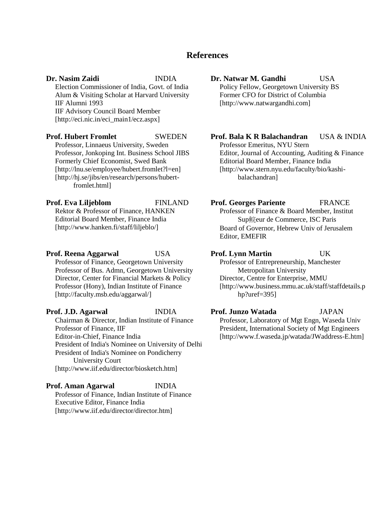#### **References**

**Dr. Nasim Zaidi** INDIA Election Commissioner of India, Govt. of India Alum & Visiting Scholar at Harvard University IIF Alumni 1993 IIF Advisory Council Board Member [http://eci.nic.in/eci\_main1/ecz.aspx]

**Prof. Hubert Fromlet** SWEDEN Professor, Linnaeus University, Sweden Professor, Jonkoping Int. Business School JIBS Formerly Chief Economist, Swed Bank [http://lnu.se/employee/hubert.fromlet?l=en] [http://hj.se/jibs/en/research/persons/hubertfromlet.html]

**Prof. Eva Liljeblom** FINLAND Rektor & Professor of Finance, HANKEN Editorial Board Member, Finance India [http://www.hanken.fi/staff/liljeblo/]

**Prof. Reena Aggarwal** USA Professor of Finance, Georgetown University Professor of Bus. Admn, Georgetown University Director, Center for Financial Markets & Policy Professor (Hony), Indian Institute of Finance [http://faculty.msb.edu/aggarwal/]

#### **Prof. J.D. Agarwal** INDIA Chairman & Director, Indian Institute of Finance Professor of Finance, IIF Editor-in-Chief, Finance India President of India's Nominee on University of Delhi President of India's Nominee on Pondicherry University Court [http://www.iif.edu/director/biosketch.htm]

#### **Prof. Aman Agarwal** INDIA Professor of Finance, Indian Institute of Finance

Executive Editor, Finance India [http://www.iif.edu/director/director.htm]

### **Dr. Natwar M. Gandhi** USA Policy Fellow, Georgetown University BS

Former CFO for District of Columbia [http://www.natwargandhi.com]

#### **Prof. Bala K R Balachandran** USA & INDIA

Professor Emeritus, NYU Stern Editor, Journal of Accounting, Auditing & Finance Editorial Board Member, Finance India [http://www.stern.nyu.edu/faculty/bio/kashibalachandran]

#### **Prof. Georges Pariente** FRANCE

Professor of Finance & Board Member, Institut Sup鲩eur de Commerce, ISC Paris Board of Governor, Hebrew Univ of Jerusalem Editor, EMEFIR

#### **Prof. Lynn Martin** UK

Professor of Entrepreneurship, Manchester Metropolitan University Director, Centre for Enterprise, MMU [http://www.business.mmu.ac.uk/staff/staffdetails.p hp?uref=395]

#### **Prof. Junzo Watada** JAPAN

Professor, Laboratory of Mgt Engn, Waseda Univ President, International Society of Mgt Engineers [http://www.f.waseda.jp/watada/JWaddress-E.htm]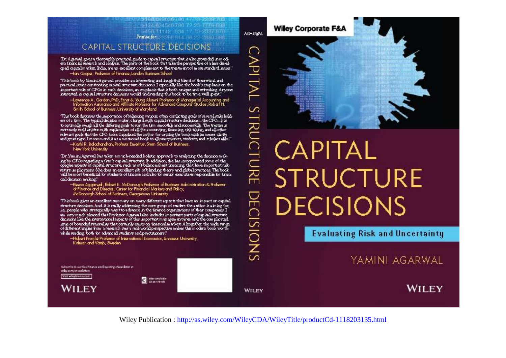5108 009889 96 1773 2289 789 \$124.834546.786.72.23-7779.683 5458 T1142 F34 17 73-2097 F78 Praise for cross rate and on distinction.

#### CAPITAL STRUCTURE DECISIONS

Dr. Agarval gives a thoroughly practical guide to capital structure that is also grounded in modi-<br>ern financial research and analysis. The parts of the book that take the perspective of a less devel. god capitalm what, India, we an excellent complement to the treatm entof more standard issues." Han Gropal, Professor of Finance, London Business School

This book by lâminisk garwal provides an interesting and insightful bland of theoretical and<br>practical issues confronting capital structure decisions. I especially like the book's emphasis on the<br>important role of CFOs in

-Lawrence A . Gordon, PhD, Ernst & Young Alumni Professor of Managerial Accounting and<br>Triformation Assurance and Affiliate Professor for Advanced Computer Studies, Robert H. Smith School of Business, University of Maryland

This book discusses the importance of balancing various, often conflicting goals of several stakehold.<br>ers of a firm . The typical decision maker, charged with capital structure decisions—the CFO—,has to optimally weigh all the differing goals to run the firm smoothly and successfully. The treatise is relevant goals that the CFO faces I applied the author for writing the book with immerse clarity<br>and great rigor. I recommend it as a must read book to all practitioners, students, and scholars alike."

-Kashi R. Baladhandran, Profesor Emeritus, Stern School of Business, New York University

The Yamini Agarwal has taken a much reseded holistic approach to aralyzing the decision making by CFOs regarding a firm's capital structure. In addition, she has incorporated some of the<br>opaque aspects of capital structure, such as off-balance sheet financing, that have in portant riskreturn in plications. She does an excellent job of blending theory and global practices. The book<br>will be most beneficial for students of finance and also for senior executives responsible for financal decision making."

McDonough School of Business, Georgetown University

This book gives an excellent summary on many different aspects that have an impact on capital.<br>structure decisions And it is really addressing the core group of readers the author is aiming for, i.e., people who strategically want to advance in the finance organizations of their companies. I an very much pleased that Profesor A garval also includes important parts of capital structure<br>decisions like the international aspects of this important management area and the complicated leve of bounded rationality that certainly exists on tinancial markets. A ltogether, the wide range of different angle of different angles from a research duck a real world. while reading, both for advanced students and practitioners."

 $2$ 

-Hubert From let Professor of International Economics, Unnaeus University,<br>Kalmar and Växjö, Sueden

Subscribe to our free finance and Investing eNewsletter at wileycom/cnuvaletters Wait wie dramos com

**WILEY** 

WILEY

**DECISIONS** 



# **CAPITAL STRUCTURE DECISIONS**

**Evaluating Risk and Uncertainty** 

YAMINI AGARWAL

WILEY

Wiley Publication: http://as.wiley.com/WileyCDA/WileyTitle/productCd-1118203135.html